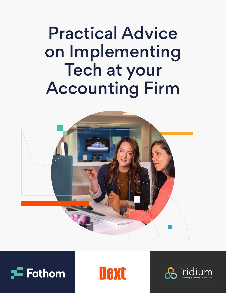# Practical Advice on Implementing Tech at your Accounting Firm







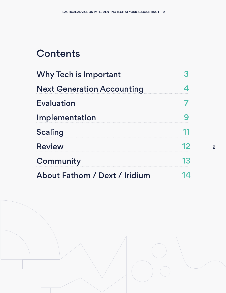## **Contents**

| <b>Why Tech is Important</b>                                                               |  |                                      |    |
|--------------------------------------------------------------------------------------------|--|--------------------------------------|----|
| <b>Next Generation Accounting</b><br><b>Evaluation</b><br>Implementation<br><b>Scaling</b> |  |                                      |    |
|                                                                                            |  | <b>Review</b>                        | 12 |
|                                                                                            |  | Community                            | 13 |
|                                                                                            |  | <b>About Fathom / Dext / Iridium</b> |    |

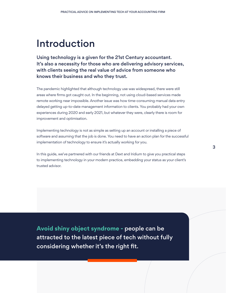### Introduction

Using technology is a given for the 21st Century accountant. It's also a necessity for those who are delivering advisory services, with clients seeing the real value of advice from someone who knows their business and who they trust.

The pandemic highlighted that although technology use was widespread, there were still areas where firms got caught out. In the beginning, not using cloud-based services made remote working near impossible. Another issue was how time-consuming manual data entry delayed getting up-to-date management information to clients. You probably had your own experiences during 2020 and early 2021, but whatever they were, clearly there is room for improvement and optimisation.

Implementing technology is not as simple as setting up an account or installing a piece of software and assuming that the job is done. You need to have an action plan for the successful implementation of technology to ensure it's actually working for you.

In this guide, we've partnered with our friends at Dext and Iridium to give you practical steps to implementing technology in your modern practice, embedding your status as your client's trusted advisor.

**Avoid shiny object syndrome -** people can be attracted to the latest piece of tech without fully considering whether it's the right fit.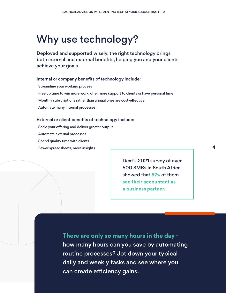### Why use technology?

Deployed and supported wisely, the right technology brings both internal and external benefits, helping you and your clients achieve your goals.

#### Internal or company benefits of technology include:

- · Streamline your working process
- · Free up time to win more work, offer more support to clients or have personal time
- · Monthly subscriptions rather than annual ones are cost-effective
- · Automate many internal processes

#### External or client benefits of technology include:

- · Scale your offering and deliver greater output
- · Automate external processes
- · Spend quality time with clients
- · Fewer spreadsheets, more insights

Dext's 2021 survey of over 500 SMBs in South Africa showed that **57%** of them **see their accountant as a business partner.** 

**There are only so many hours in the day**  how many hours can you save by automating routine processes? Jot down your typical daily and weekly tasks and see where you can create efficiency gains.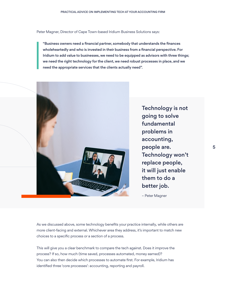Peter Magner, Director of Cape Town-based Iridium Business Solutions says:

 "Business owners need a financial partner, somebody that understands the finances wholeheartedly and who is invested in their business from a financial perspective. For Iridium to add value to businesses, we need to be equipped as advisors with three things; we need the right technology for the client, we need robust processes in place, and we need the appropriate services that the clients actually need".



going to solve fundamental problems in accounting, people are. Technology won't replace people, it will just enable them to do a

– Peter Magner

As we discussed above, some technology benefits your practice internally, while others are more client-facing and external. Whichever area they address, it's important to match new choices to a specific process or a section of a process.

This will give you a clear benchmark to compare the tech against. Does it improve the process? If so, how much (time saved, processes automated, money earned)? You can also then decide which processes to automate first. For example, Iridium has identified three 'core processes': accounting, reporting and payroll.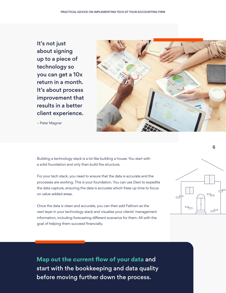It's not just about signing up to a piece of technology so you can get a 10x return in a month. It's about process improvement that results in a better client experience.

– Peter Magner



Building a technology stack is a lot like building a house. You start with a solid foundation and only then build the structure.

For your tech stack, you need to ensure that the data is accurate and the processes are working. This is your foundation. You can use Dext to expedite the data capture, ensuring the data is accurate which frees up time to focus on value-added areas.

Once the data is clean and accurate, you can then add Fathom as the next layer in your technology stack and visualise your clients' management information, including forecasting different scenarios for them. All with the goal of helping them succeed financially.



6

**Map out the current flow of your data** and start with the bookkeeping and data quality before moving further down the process.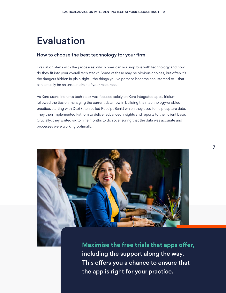### Evaluation

#### How to choose the best technology for your firm

Evaluation starts with the processes: which ones can you improve with technology and how do they fit into your overall tech stack? Some of these may be obvious choices, but often it's the dangers hidden in plain sight - the things you've perhaps become accustomed to – that can actually be an unseen drain of your resources.

As Xero users, Iridium's tech stack was focused solely on Xero integrated apps. Iridium followed the tips on managing the current data flow in building their technology-enabled practice, starting with Dext (then called Receipt Bank) which they used to help capture data. They then implemented Fathom to deliver advanced insights and reports to their client base. Crucially, they waited six to nine months to do so, ensuring that the data was accurate and processes were working optimally.



**Maximise the free trials that apps offer,**  including the support along the way. This offers you a chance to ensure that the app is right for your practice.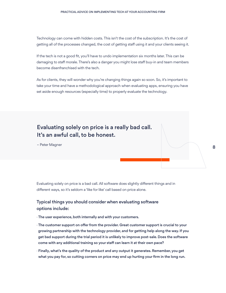Technology can come with hidden costs. This isn't the cost of the subscription. It's the cost of getting all of the processes changed, the cost of getting staff using it and your clients seeing it.

If the tech is not a good fit, you'll have to undo implementation six months later. This can be damaging to staff morale. There's also a danger you might lose staff buy-in and team members become disenfranchised with the tech.

As for clients, they will wonder why you're changing things again so soon. So, it's important to take your time and have a methodological approach when evaluating apps, ensuring you have set aside enough resources (especially time) to properly evaluate the technology.

Evaluating solely on price is a really bad call. It's an awful call, to be honest.

– Peter Magner

Evaluating solely on price is a bad call. All software does slightly different things and in different ways, so it's seldom a 'like for like' call based on price alone.

#### Typical things you should consider when evaluating software options include:

· The user experience, both internally and with your customers.

- · The customer support on offer from the provider. Great customer support is crucial to your growing partnership with the technology provider, and for getting help along the way. If you get bad support during the trial period it is unlikely to improve post-sale. Does the software come with any additional training so your staff can learn it at their own pace?
- · Finally, what's the quality of the product and any output it generates. Remember, you get what you pay for, so cutting corners on price may end up hurting your firm in the long run.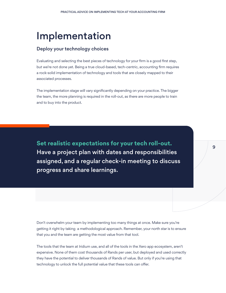### Implementation

#### Deploy your technology choices

Evaluating and selecting the best pieces of technology for your firm is a good first step, but we're not done yet. Being a true cloud-based, tech-centric, accounting firm requires a rock-solid implementation of technology and tools that are closely mapped to their associated processes.

The implementation stage will vary significantly depending on your practice. The bigger the team, the more planning is required in the roll-out, as there are more people to train and to buy into the product.

**Set realistic expectations for your tech roll-out.**  Have a project plan with dates and responsibilities assigned, and a regular check-in meeting to discuss progress and share learnings.

Don't overwhelm your team by implementing too many things at once. Make sure you're getting it right by taking a methodological approach. Remember, your north star is to ensure that you and the team are getting the most value from that tool.

The tools that the team at Iridium use, and all of the tools in the Xero app ecosystem, aren't expensive. None of them cost thousands of Rands per user, but deployed and used correctly they have the potential to deliver thousands of Rands of value. But only if you're using that technology to unlock the full potential value that these tools can offer.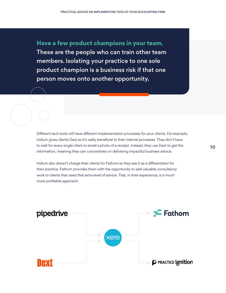**Have a few product champions in your team.**  These are the people who can train other team members. Isolating your practice to one sole product champion is a business risk if that one person moves onto another opportunity.

Different tech tools will have different implementation processes for your clients. For example, Iridium gives clients Dext as it's really beneficial to their internal processes. They don't have to wait for every single client to email a photo of a receipt. Instead, they use Dext to get the information, meaning they can concentrate on delivering impactful business advice.

Iridium also doesn't charge their clients for Fathom as they see it as a differentiator for their practice. Fathom provides them with the opportunity to add valuable consultancy work to clients that need that extra level of advice. That, in their experience, is a much more profitable approach.

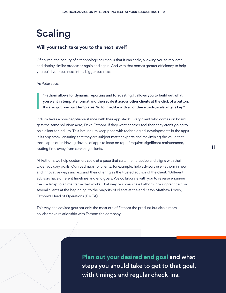# Scaling

#### Will your tech take you to the next level?

Of course, the beauty of a technology solution is that it can scale, allowing you to replicate and deploy similar processes again and again. And with that comes greater efficiency to help you build your business into a bigger business.

As Peter says,

"Fathom allows for dynamic reporting and forecasting. It allows you to build out what you want in template format and then scale it across other clients at the click of a button. It's also got pre-built templates. So for me, like with all of these tools, scalability is key."

Iridium takes a non-negotiable stance with their app stack. Every client who comes on board gets the same solution: Xero, Dext, Fathom. If they want another tool then they aren't going to be a client for Iridium. This lets Iridium keep pace with technological developments in the apps in its app stack, ensuring that they are subject matter experts and maximising the value that these apps offer. Having dozens of apps to keep on top of requires significant maintenance, routing time away from servicing clients.

At Fathom, we help customers scale at a pace that suits their practice and aligns with their wider advisory goals. Our roadmaps for clients, for example, help advisors use Fathom in new and innovative ways and expand their offering as the trusted advisor of the client. "Different advisors have different timelines and end goals. We collaborate with you to reverse engineer the roadmap to a time frame that works. That way, you can scale Fathom in your practice from several clients at the beginning, to the majority of clients at the end," says Matthew Lowry, Fathom's Head of Operations (EMEA).

This way, the advisor gets not only the most out of Fathom the product but also a more collaborative relationship with Fathom the company.

> **Plan out your desired end goal** and what steps you should take to get to that goal, with timings and regular check-ins.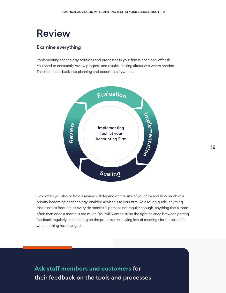### Review

#### Examine everything

Implementing technology solutions and processes in your firm is not a one-off task. You need to constantly review progress and results, making alterations where needed. This then feeds back into planning and becomes a flywheel.



How often you should hold a review will depend on the size of your firm and how much of a priority becoming a technology-enabled advisor is to your firm. As a rough guide, anything that is not as frequent as every six months is perhaps not regular enough, anything that's more often than once a month is too much. You will want to strike the right balance between getting feedback regularly and iterating on the processes vs having lots of meetings for the sake of it when nothing has changed.

**Ask staff members and customers** for their feedback on the tools and processes.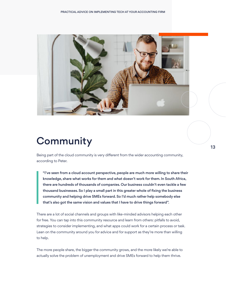

## **Community**

Being part of the cloud community is very different from the wider accounting community, according to Peter.

 "I've seen from a cloud account perspective, people are much more willing to share their knowledge, share what works for them and what doesn't work for them. In South Africa, there are hundreds of thousands of companies. Our business couldn't even tackle a few thousand businesses. So I play a small part in this greater whole of fixing the business community and helping drive SMEs forward. So I'd much rather help somebody else that's also got the same vision and values that I have to drive things forward".

There are a lot of social channels and groups with like-minded advisors helping each other for free. You can tap into this community resource and learn from others: pitfalls to avoid, strategies to consider implementing, and what apps could work for a certain process or task. Lean on the community around you for advice and for support as they're more than willing to help.

The more people share, the bigger the community grows, and the more likely we're able to actually solve the problem of unemployment and drive SMEs forward to help them thrive.